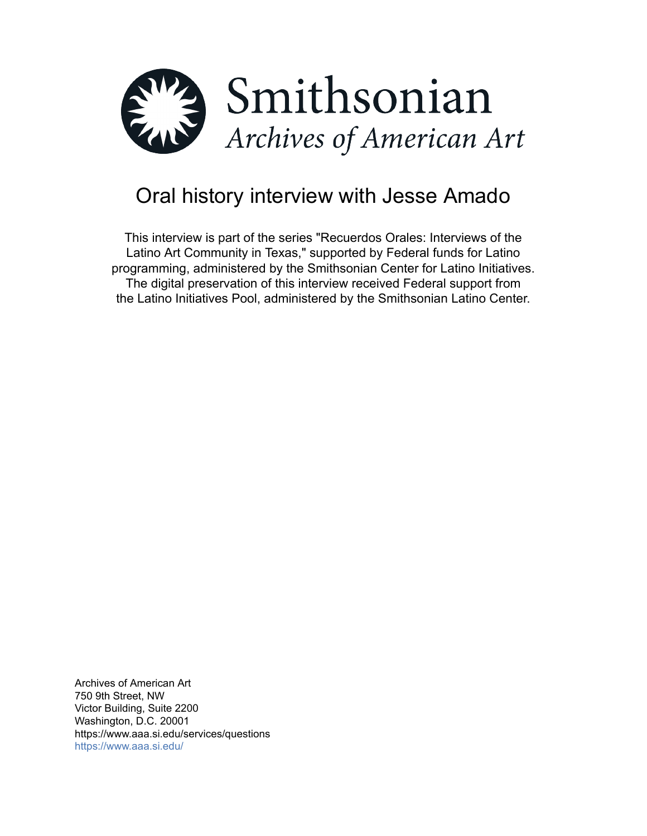

# Oral history interview with Jesse Amado

This interview is part of the series "Recuerdos Orales: Interviews of the Latino Art Community in Texas," supported by Federal funds for Latino programming, administered by the Smithsonian Center for Latino Initiatives. The digital preservation of this interview received Federal support from the Latino Initiatives Pool, administered by the Smithsonian Latino Center.

Archives of American Art 750 9th Street, NW Victor Building, Suite 2200 Washington, D.C. 20001 https://www.aaa.si.edu/services/questions <https://www.aaa.si.edu/>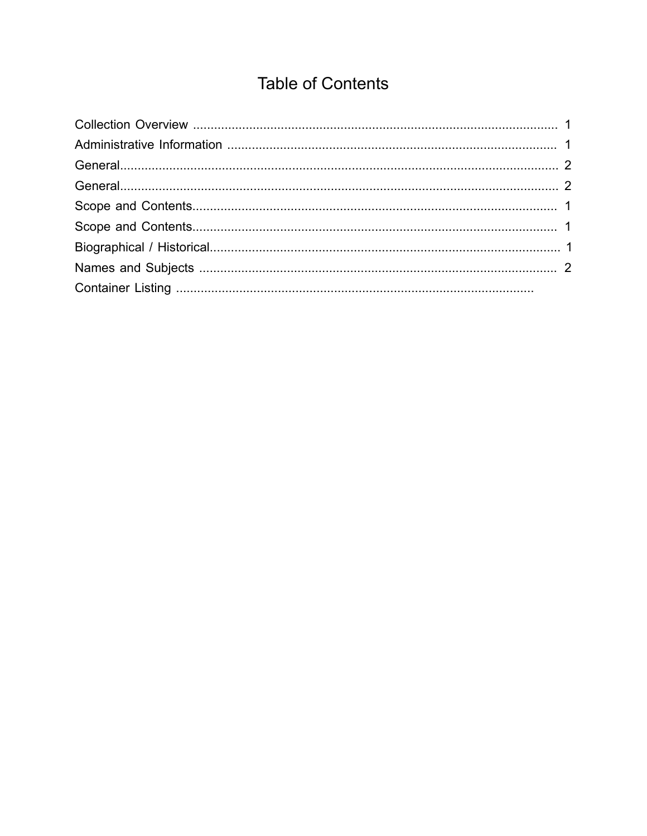# **Table of Contents**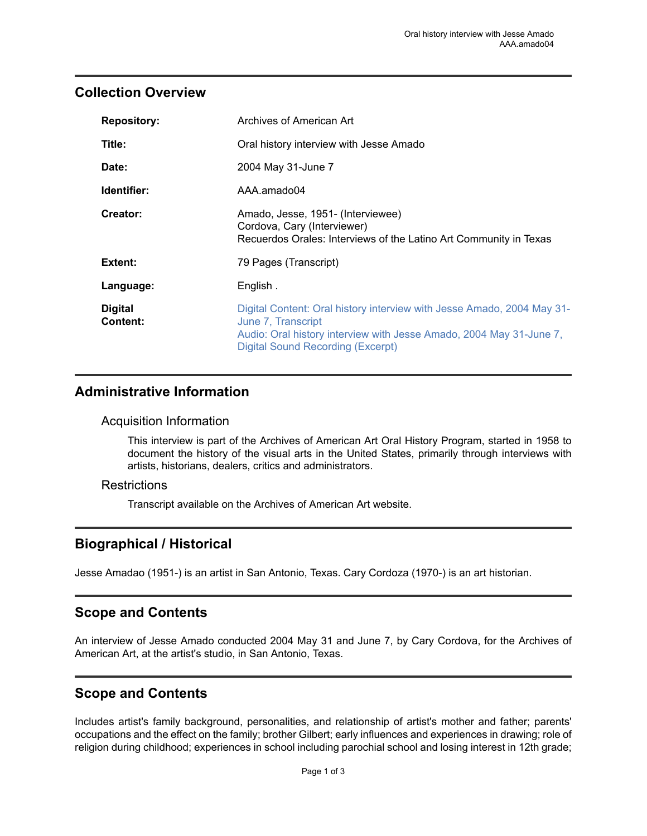## <span id="page-2-0"></span>**Collection Overview**

| <b>Repository:</b>         | Archives of American Art                                                                                                                                                                                        |
|----------------------------|-----------------------------------------------------------------------------------------------------------------------------------------------------------------------------------------------------------------|
| Title:                     | Oral history interview with Jesse Amado                                                                                                                                                                         |
| Date:                      | 2004 May 31-June 7                                                                                                                                                                                              |
| Identifier:                | AAA.amado04                                                                                                                                                                                                     |
| Creator:                   | Amado, Jesse, 1951- (Interviewee)<br>Cordova, Cary (Interviewer)<br>Recuerdos Orales: Interviews of the Latino Art Community in Texas                                                                           |
| Extent:                    | 79 Pages (Transcript)                                                                                                                                                                                           |
| Language:                  | English.                                                                                                                                                                                                        |
| <b>Digital</b><br>Content: | Digital Content: Oral history interview with Jesse Amado, 2004 May 31-<br>June 7, Transcript<br>Audio: Oral history interview with Jesse Amado, 2004 May 31-June 7,<br><b>Digital Sound Recording (Excerpt)</b> |

### <span id="page-2-1"></span>**Administrative Information**

#### Acquisition Information

This interview is part of the Archives of American Art Oral History Program, started in 1958 to document the history of the visual arts in the United States, primarily through interviews with artists, historians, dealers, critics and administrators.

#### **Restrictions**

Transcript available on the Archives of American Art website.

# <span id="page-2-4"></span>**Biographical / Historical**

Jesse Amadao (1951-) is an artist in San Antonio, Texas. Cary Cordoza (1970-) is an art historian.

### <span id="page-2-2"></span>**Scope and Contents**

An interview of Jesse Amado conducted 2004 May 31 and June 7, by Cary Cordova, for the Archives of American Art, at the artist's studio, in San Antonio, Texas.

# <span id="page-2-3"></span>**Scope and Contents**

Includes artist's family background, personalities, and relationship of artist's mother and father; parents' occupations and the effect on the family; brother Gilbert; early influences and experiences in drawing; role of religion during childhood; experiences in school including parochial school and losing interest in 12th grade;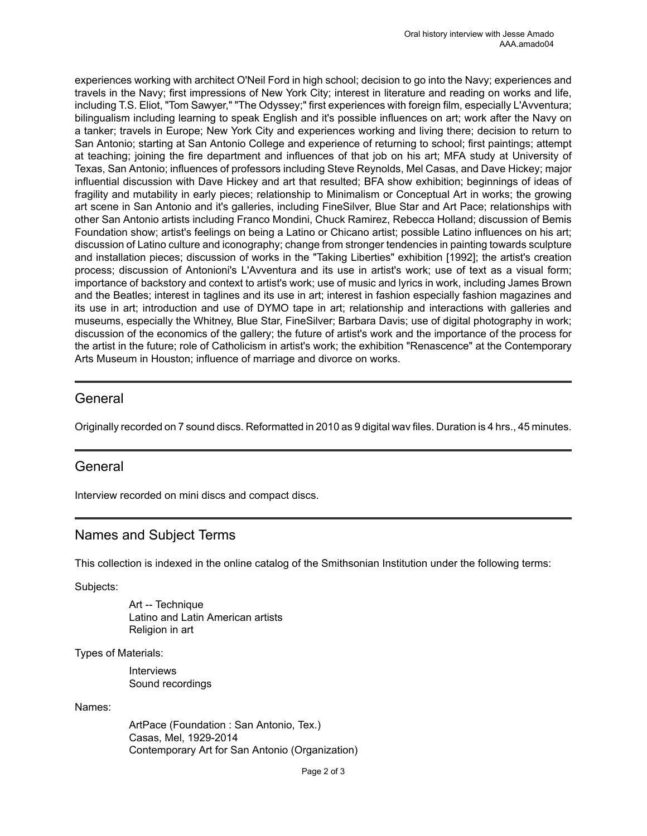experiences working with architect O'Neil Ford in high school; decision to go into the Navy; experiences and travels in the Navy; first impressions of New York City; interest in literature and reading on works and life, including T.S. Eliot, "Tom Sawyer," "The Odyssey;" first experiences with foreign film, especially L'Avventura; bilingualism including learning to speak English and it's possible influences on art; work after the Navy on a tanker; travels in Europe; New York City and experiences working and living there; decision to return to San Antonio; starting at San Antonio College and experience of returning to school; first paintings; attempt at teaching; joining the fire department and influences of that job on his art; MFA study at University of Texas, San Antonio; influences of professors including Steve Reynolds, Mel Casas, and Dave Hickey; major influential discussion with Dave Hickey and art that resulted; BFA show exhibition; beginnings of ideas of fragility and mutability in early pieces; relationship to Minimalism or Conceptual Art in works; the growing art scene in San Antonio and it's galleries, including FineSilver, Blue Star and Art Pace; relationships with other San Antonio artists including Franco Mondini, Chuck Ramirez, Rebecca Holland; discussion of Bemis Foundation show; artist's feelings on being a Latino or Chicano artist; possible Latino influences on his art; discussion of Latino culture and iconography; change from stronger tendencies in painting towards sculpture and installation pieces; discussion of works in the "Taking Liberties" exhibition [1992]; the artist's creation process; discussion of Antonioni's L'Avventura and its use in artist's work; use of text as a visual form; importance of backstory and context to artist's work; use of music and lyrics in work, including James Brown and the Beatles; interest in taglines and its use in art; interest in fashion especially fashion magazines and its use in art; introduction and use of DYMO tape in art; relationship and interactions with galleries and museums, especially the Whitney, Blue Star, FineSilver; Barbara Davis; use of digital photography in work; discussion of the economics of the gallery; the future of artist's work and the importance of the process for the artist in the future; role of Catholicism in artist's work; the exhibition "Renascence" at the Contemporary Arts Museum in Houston; influence of marriage and divorce on works.

#### <span id="page-3-0"></span>General

Originally recorded on 7 sound discs. Reformatted in 2010 as 9 digital wav files. Duration is 4 hrs., 45 minutes.

#### <span id="page-3-1"></span>General

Interview recorded on mini discs and compact discs.

### <span id="page-3-2"></span>Names and Subject Terms

This collection is indexed in the online catalog of the Smithsonian Institution under the following terms:

Subjects:

Art -- Technique Latino and Latin American artists Religion in art

Types of Materials:

Interviews Sound recordings

Names:

ArtPace (Foundation : San Antonio, Tex.) Casas, Mel, 1929-2014 Contemporary Art for San Antonio (Organization)